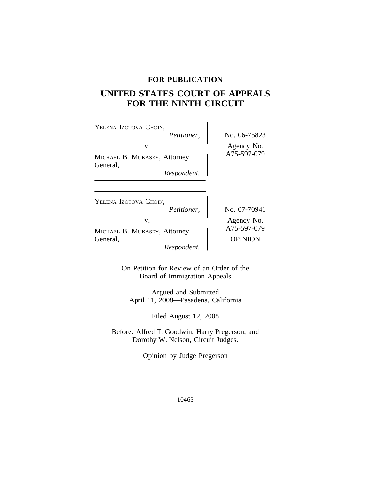# **FOR PUBLICATION**

# **UNITED STATES COURT OF APPEALS FOR THE NINTH CIRCUIT**

 $\overline{\phantom{a}}$ 

| YELENA IZOTOVA CHOIN,<br>Petitioner,                          | No. 06-75823                                |  |
|---------------------------------------------------------------|---------------------------------------------|--|
| V.<br>MICHAEL B. MUKASEY, Attorney<br>General,                | Agency No.<br>A75-597-079                   |  |
| Respondent.                                                   |                                             |  |
| YELENA IZOTOVA CHOIN,<br>Petitioner,                          | No. 07-70941                                |  |
| V.<br>MICHAEL B. MUKASEY, Attorney<br>General,<br>Respondent. | Agency No.<br>A75-597-079<br><b>OPINION</b> |  |

On Petition for Review of an Order of the Board of Immigration Appeals

Argued and Submitted April 11, 2008—Pasadena, California

Filed August 12, 2008

Before: Alfred T. Goodwin, Harry Pregerson, and Dorothy W. Nelson, Circuit Judges.

Opinion by Judge Pregerson

10463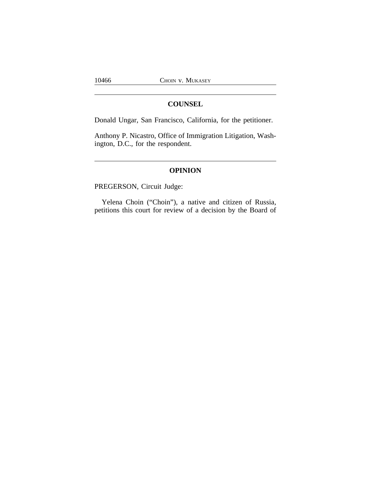# **COUNSEL**

Donald Ungar, San Francisco, California, for the petitioner.

Anthony P. Nicastro, Office of Immigration Litigation, Washington, D.C., for the respondent.

# **OPINION**

PREGERSON, Circuit Judge:

Yelena Choin ("Choin"), a native and citizen of Russia, petitions this court for review of a decision by the Board of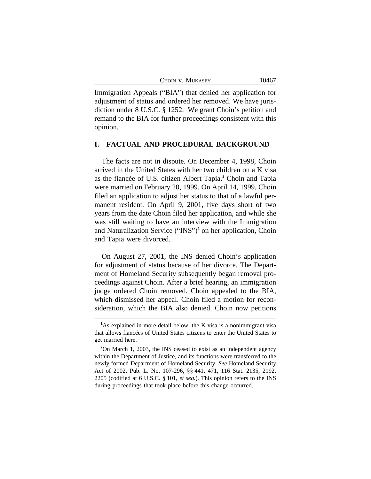|  | CHOIN V. MUKASEY |  |
|--|------------------|--|
|--|------------------|--|

10467

Immigration Appeals ("BIA") that denied her application for adjustment of status and ordered her removed. We have jurisdiction under 8 U.S.C. § 1252. We grant Choin's petition and remand to the BIA for further proceedings consistent with this opinion.

#### **I. FACTUAL AND PROCEDURAL BACKGROUND**

The facts are not in dispute. On December 4, 1998, Choin arrived in the United States with her two children on a K visa as the fiancée of U.S. citizen Albert Tapia.**<sup>1</sup>** Choin and Tapia were married on February 20, 1999. On April 14, 1999, Choin filed an application to adjust her status to that of a lawful permanent resident. On April 9, 2001, five days short of two years from the date Choin filed her application, and while she was still waiting to have an interview with the Immigration and Naturalization Service ("INS")**<sup>2</sup>** on her application, Choin and Tapia were divorced.

On August 27, 2001, the INS denied Choin's application for adjustment of status because of her divorce. The Department of Homeland Security subsequently began removal proceedings against Choin. After a brief hearing, an immigration judge ordered Choin removed. Choin appealed to the BIA, which dismissed her appeal. Choin filed a motion for reconsideration, which the BIA also denied. Choin now petitions

**<sup>1</sup>**As explained in more detail below, the K visa is a nonimmigrant visa that allows fiancées of United States citizens to enter the United States to get married here.

<sup>&</sup>lt;sup>2</sup>On March 1, 2003, the INS ceased to exist as an independent agency within the Department of Justice, and its functions were transferred to the newly formed Department of Homeland Security. *See* Homeland Security Act of 2002, Pub. L. No. 107-296, §§ 441, 471, 116 Stat. 2135, 2192, 2205 (codified at 6 U.S.C. § 101, *et seq.*). This opinion refers to the INS during proceedings that took place before this change occurred.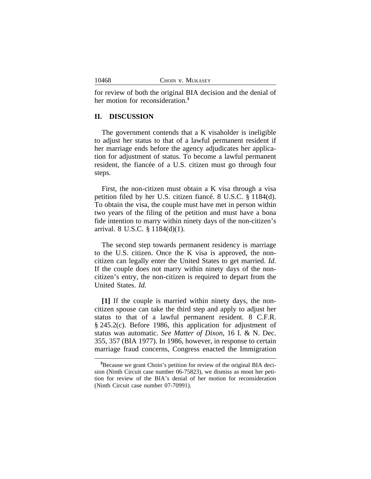for review of both the original BIA decision and the denial of her motion for reconsideration.**<sup>3</sup>**

## **II. DISCUSSION**

The government contends that a K visaholder is ineligible to adjust her status to that of a lawful permanent resident if her marriage ends before the agency adjudicates her application for adjustment of status. To become a lawful permanent resident, the fiancée of a U.S. citizen must go through four steps.

First, the non-citizen must obtain a K visa through a visa petition filed by her U.S. citizen fiancé. 8 U.S.C. § 1184(d). To obtain the visa, the couple must have met in person within two years of the filing of the petition and must have a bona fide intention to marry within ninety days of the non-citizen's arrival. 8 U.S.C. § 1184(d)(1).

The second step towards permanent residency is marriage to the U.S. citizen. Once the K visa is approved, the noncitizen can legally enter the United States to get married. *Id.* If the couple does not marry within ninety days of the noncitizen's entry, the non-citizen is required to depart from the United States. *Id.*

**[1]** If the couple is married within ninety days, the noncitizen spouse can take the third step and apply to adjust her status to that of a lawful permanent resident. 8 C.F.R. § 245.2(c). Before 1986, this application for adjustment of status was automatic. *See Matter of Dixon*, 16 I. & N. Dec. 355, 357 (BIA 1977). In 1986, however, in response to certain marriage fraud concerns, Congress enacted the Immigration

**<sup>3</sup>**Because we grant Choin's petition for review of the original BIA decision (Ninth Circuit case number 06-75823), we dismiss as moot her petition for review of the BIA's denial of her motion for reconsideration (Ninth Circuit case number 07-70991).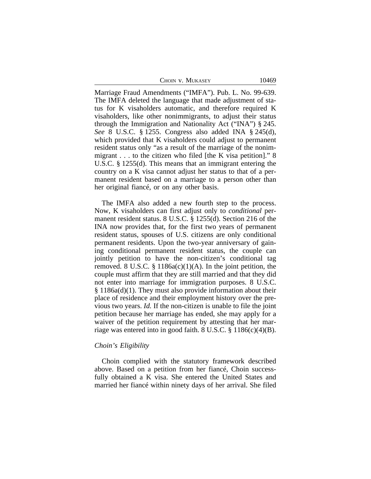CHOIN V. MUKASEY 10469

Marriage Fraud Amendments ("IMFA"). Pub. L. No. 99-639. The IMFA deleted the language that made adjustment of status for K visaholders automatic, and therefore required K visaholders, like other nonimmigrants, to adjust their status through the Immigration and Nationality Act ("INA") § 245. *See* 8 U.S.C. § 1255. Congress also added INA § 245(d), which provided that K visaholders could adjust to permanent resident status only "as a result of the marriage of the nonimmigrant . . . to the citizen who filed [the K visa petition]." 8 U.S.C. § 1255(d). This means that an immigrant entering the country on a K visa cannot adjust her status to that of a permanent resident based on a marriage to a person other than her original fiancé, or on any other basis.

The IMFA also added a new fourth step to the process. Now, K visaholders can first adjust only to *conditional* permanent resident status. 8 U.S.C. § 1255(d). Section 216 of the INA now provides that, for the first two years of permanent resident status, spouses of U.S. citizens are only conditional permanent residents. Upon the two-year anniversary of gaining conditional permanent resident status, the couple can jointly petition to have the non-citizen's conditional tag removed. 8 U.S.C. § 1186a(c)(1)(A). In the joint petition, the couple must affirm that they are still married and that they did not enter into marriage for immigration purposes. 8 U.S.C. § 1186a(d)(1). They must also provide information about their place of residence and their employment history over the previous two years. *Id.* If the non-citizen is unable to file the joint petition because her marriage has ended, she may apply for a waiver of the petition requirement by attesting that her marriage was entered into in good faith. 8 U.S.C. § 1186(c)(4)(B).

### *Choin's Eligibility*

Choin complied with the statutory framework described above. Based on a petition from her fiancé, Choin successfully obtained a K visa. She entered the United States and married her fiancé within ninety days of her arrival. She filed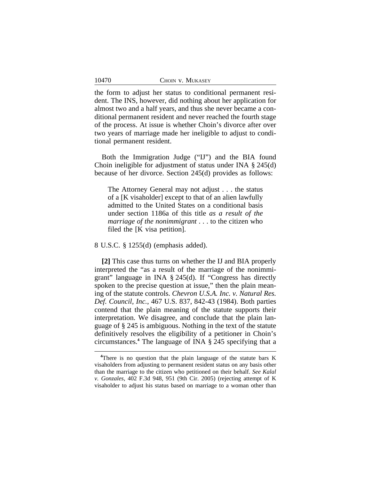the form to adjust her status to conditional permanent resident. The INS, however, did nothing about her application for almost two and a half years, and thus she never became a conditional permanent resident and never reached the fourth stage of the process. At issue is whether Choin's divorce after over two years of marriage made her ineligible to adjust to conditional permanent resident.

Both the Immigration Judge ("IJ") and the BIA found Choin ineligible for adjustment of status under INA § 245(d) because of her divorce. Section 245(d) provides as follows:

The Attorney General may not adjust . . . the status of a [K visaholder] except to that of an alien lawfully admitted to the United States on a conditional basis under section 1186a of this title *as a result of the marriage of the nonimmigrant* . . . to the citizen who filed the [K visa petition].

8 U.S.C. § 1255(d) (emphasis added).

**[2]** This case thus turns on whether the IJ and BIA properly interpreted the "as a result of the marriage of the nonimmigrant" language in INA § 245(d). If "Congress has directly spoken to the precise question at issue," then the plain meaning of the statute controls. *Chevron U.S.A. Inc. v. Natural Res. Def. Council, Inc.*, 467 U.S. 837, 842-43 (1984). Both parties contend that the plain meaning of the statute supports their interpretation. We disagree, and conclude that the plain language of § 245 is ambiguous. Nothing in the text of the statute definitively resolves the eligibility of a petitioner in Choin's circumstances.**<sup>4</sup>** The language of INA § 245 specifying that a

**<sup>4</sup>**There is no question that the plain language of the statute bars K visaholders from adjusting to permanent resident status on any basis other than the marriage to the citizen who petitioned on their behalf. *See Kalal v. Gonzales*, 402 F.3d 948, 951 (9th Cir. 2005) (rejecting attempt of K visaholder to adjust his status based on marriage to a woman other than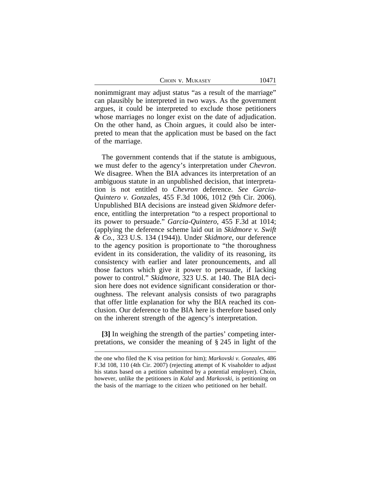CHOIN V. MUKASEY 10471

nonimmigrant may adjust status "as a result of the marriage" can plausibly be interpreted in two ways. As the government argues, it could be interpreted to exclude those petitioners whose marriages no longer exist on the date of adjudication. On the other hand, as Choin argues, it could also be interpreted to mean that the application must be based on the fact of the marriage.

The government contends that if the statute is ambiguous, we must defer to the agency's interpretation under *Chevron*. We disagree. When the BIA advances its interpretation of an ambiguous statute in an unpublished decision, that interpretation is not entitled to *Chevron* deference. *See Garcia-Quintero v. Gonzales*, 455 F.3d 1006, 1012 (9th Cir. 2006). Unpublished BIA decisions are instead given *Skidmore* deference, entitling the interpretation "to a respect proportional to its power to persuade." *Garcia-Quintero*, 455 F.3d at 1014; (applying the deference scheme laid out in *Skidmore v. Swift & Co.*, 323 U.S. 134 (1944)). Under *Skidmore*, our deference to the agency position is proportionate to "the thoroughness evident in its consideration, the validity of its reasoning, its consistency with earlier and later pronouncements, and all those factors which give it power to persuade, if lacking power to control." *Skidmore*, 323 U.S. at 140. The BIA decision here does not evidence significant consideration or thoroughness. The relevant analysis consists of two paragraphs that offer little explanation for why the BIA reached its conclusion. Our deference to the BIA here is therefore based only on the inherent strength of the agency's interpretation.

**[3]** In weighing the strength of the parties' competing interpretations, we consider the meaning of § 245 in light of the

the one who filed the K visa petition for him); *Markovski v. Gonzales*, 486 F.3d 108, 110 (4th Cir. 2007) (rejecting attempt of K visaholder to adjust his status based on a petition submitted by a potential employer). Choin, however, unlike the petitioners in *Kalal* and *Markovski*, is petitioning on the basis of the marriage to the citizen who petitioned on her behalf.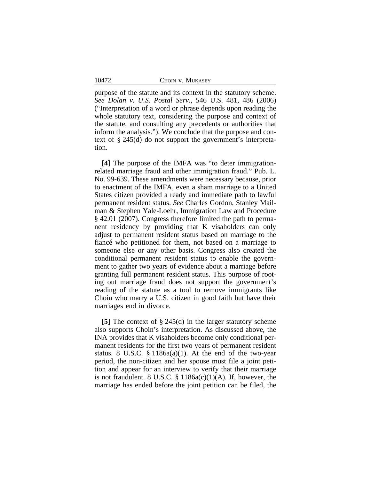purpose of the statute and its context in the statutory scheme. *See Dolan v. U.S. Postal Serv.*, 546 U.S. 481, 486 (2006) ("Interpretation of a word or phrase depends upon reading the whole statutory text, considering the purpose and context of the statute, and consulting any precedents or authorities that inform the analysis."). We conclude that the purpose and context of § 245(d) do not support the government's interpretation.

**[4]** The purpose of the IMFA was "to deter immigrationrelated marriage fraud and other immigration fraud." Pub. L. No. 99-639. These amendments were necessary because, prior to enactment of the IMFA, even a sham marriage to a United States citizen provided a ready and immediate path to lawful permanent resident status. *See* Charles Gordon, Stanley Mailman & Stephen Yale-Loehr, Immigration Law and Procedure § 42.01 (2007). Congress therefore limited the path to permanent residency by providing that K visaholders can only adjust to permanent resident status based on marriage to the fiancé who petitioned for them, not based on a marriage to someone else or any other basis. Congress also created the conditional permanent resident status to enable the government to gather two years of evidence about a marriage before granting full permanent resident status. This purpose of rooting out marriage fraud does not support the government's reading of the statute as a tool to remove immigrants like Choin who marry a U.S. citizen in good faith but have their marriages end in divorce.

**[5]** The context of § 245(d) in the larger statutory scheme also supports Choin's interpretation. As discussed above, the INA provides that K visaholders become only conditional permanent residents for the first two years of permanent resident status. 8 U.S.C.  $\S 1186a(a)(1)$ . At the end of the two-year period, the non-citizen and her spouse must file a joint petition and appear for an interview to verify that their marriage is not fraudulent. 8 U.S.C.  $\S$  1186a(c)(1)(A). If, however, the marriage has ended before the joint petition can be filed, the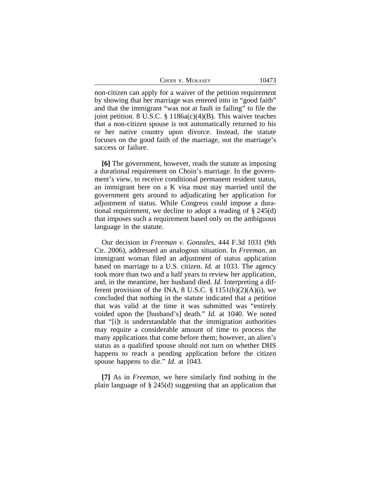|  | CHOIN V. MUKASEY |  |
|--|------------------|--|
|--|------------------|--|

non-citizen can apply for a waiver of the petition requirement by showing that her marriage was entered into in "good faith" and that the immigrant "was not at fault in failing" to file the joint petition. 8 U.S.C.  $\S 1186a(c)(4)(B)$ . This waiver teaches that a non-citizen spouse is not automatically returned to his or her native country upon divorce. Instead, the statute focuses on the good faith of the marriage, not the marriage's success or failure.

**[6]** The government, however, reads the statute as imposing a durational requirement on Choin's marriage. In the government's view, to receive conditional permanent resident status, an immigrant here on a K visa must stay married until the government gets around to adjudicating her application for adjustment of status. While Congress could impose a durational requirement, we decline to adopt a reading of § 245(d) that imposes such a requirement based only on the ambiguous language in the statute.

Our decision in *Freeman v. Gonzales*, 444 F.3d 1031 (9th Cir. 2006), addressed an analogous situation. In *Freeman,* an immigrant woman filed an adjustment of status application based on marriage to a U.S. citizen. *Id.* at 1033. The agency took more than two and a half years to review her application, and, in the meantime, her husband died. *Id.* Interpreting a different provision of the INA, 8 U.S.C.  $\S 1151(b)(2)(A)(i)$ , we concluded that nothing in the statute indicated that a petition that was valid at the time it was submitted was "entirely voided upon the [husband's] death." *Id.* at 1040. We noted that "[i]t is understandable that the immigration authorities may require a considerable amount of time to process the many applications that come before them; however, an alien's status as a qualified spouse should not turn on whether DHS happens to reach a pending application before the citizen spouse happens to die." *Id.* at 1043.

**[7]** As in *Freeman*, we here similarly find nothing in the plain language of § 245(d) suggesting that an application that